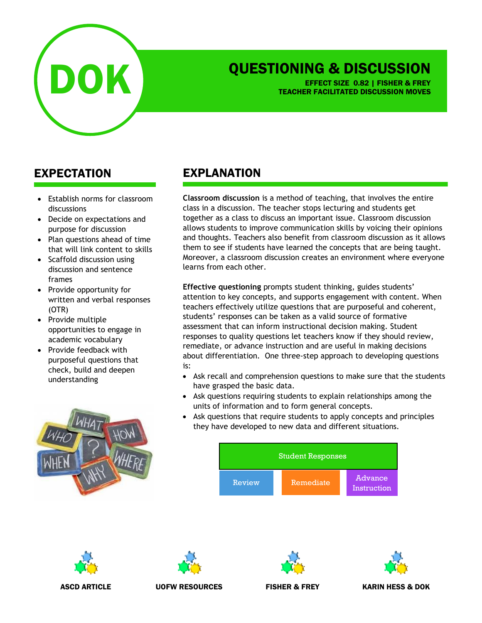

## QUESTIONING & DISCUSSION

EFFECT SIZE 0.82 | FISHER & FREY TEACHER FACILITATED DISCUSSION MOVES

## EXPECTATION

- Establish norms for classroom discussions
- Decide on expectations and purpose for discussion
- Plan questions ahead of time that will link content to skills
- Scaffold discussion using discussion and sentence frames
- Provide opportunity for written and verbal responses (OTR)
- Provide multiple opportunities to engage in academic vocabulary
- Provide feedback with purposeful questions that check, build and deepen understanding



## EXPLANATION

**Classroom discussion** is a method of teaching, that involves the entire class in a discussion. The teacher stops lecturing and students get together as a class to discuss an important issue. Classroom discussion allows students to improve communication skills by voicing their opinions and thoughts. Teachers also benefit from classroom discussion as it allows them to see if students have learned the concepts that are being taught. Moreover, a classroom discussion creates an environment where everyone learns from each other.

**Effective questioning** prompts student thinking, guides students' attention to key concepts, and supports engagement with content. When teachers effectively utilize questions that are purposeful and coherent, students' responses can be taken as a valid source of formative assessment that can inform instructional decision making. Student responses to quality questions let teachers know if they should review, remediate, or advance instruction and are useful in making decisions about differentiation. One three-step approach to developing questions is:

- Ask recall and comprehension questions to make sure that the students have grasped the basic data.
- Ask questions requiring students to explain relationships among the units of information and to form general concepts.
- Ask questions that require students to apply concepts and principles they have developed to new data and different situations.